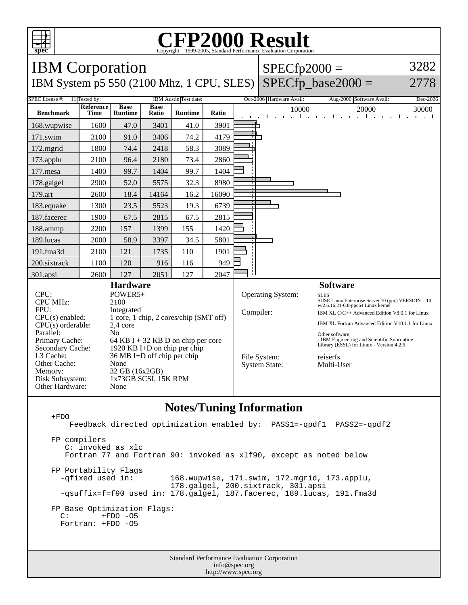

## C<sub>opyright</sub> ©1999-2005, Standard Performance Evaluation Corporation

| <b>IBM</b> Corporation                                                                                                          |                          |                                                                                       |                      |                |                                                                                                            |                                               | $SPECfp2000 =$                       | 3282                                   |                                                                                                                                              |                                            |
|---------------------------------------------------------------------------------------------------------------------------------|--------------------------|---------------------------------------------------------------------------------------|----------------------|----------------|------------------------------------------------------------------------------------------------------------|-----------------------------------------------|--------------------------------------|----------------------------------------|----------------------------------------------------------------------------------------------------------------------------------------------|--------------------------------------------|
| IBM System p5 550 (2100 Mhz, 1 CPU, SLES)                                                                                       |                          |                                                                                       |                      |                |                                                                                                            |                                               |                                      |                                        | $SPECfp$ base2000 =                                                                                                                          | 2778                                       |
| <b>SPEC</b> license #:<br>11 Tested by:<br>IBM Austin Test date:                                                                |                          |                                                                                       |                      |                |                                                                                                            |                                               | Oct-2006 Hardware Avail:             |                                        | Aug-2006 Software Avail:                                                                                                                     | Dec-2006                                   |
| <b>Benchmark</b>                                                                                                                | Reference<br><b>Time</b> | <b>Base</b><br><b>Runtime</b>                                                         | <b>Base</b><br>Ratio | <b>Runtime</b> | Ratio                                                                                                      |                                               |                                      | 10000<br>$\mathbf{1}$ and $\mathbf{1}$ | 20000<br>and a state of the state<br>$\blacksquare$                                                                                          | 30000<br>$\blacksquare$<br><b>Contract</b> |
| 168.wupwise                                                                                                                     | 1600                     | 47.0                                                                                  | 3401                 | 41.0           | 3901                                                                                                       |                                               |                                      |                                        |                                                                                                                                              |                                            |
| 171.swim                                                                                                                        | 3100                     | 91.0                                                                                  | 3406                 | 74.2           | 4179                                                                                                       |                                               |                                      |                                        |                                                                                                                                              |                                            |
| 172.mgrid                                                                                                                       | 1800                     | 74.4                                                                                  | 2418                 | 58.3           | 3089                                                                                                       |                                               |                                      |                                        |                                                                                                                                              |                                            |
| 173.applu                                                                                                                       | 2100                     | 96.4                                                                                  | 2180                 | 73.4           | 2860                                                                                                       |                                               |                                      |                                        |                                                                                                                                              |                                            |
| 177.mesa                                                                                                                        | 1400                     | 99.7                                                                                  | 1404                 | 99.7           | 1404                                                                                                       |                                               |                                      |                                        |                                                                                                                                              |                                            |
| 178.galgel                                                                                                                      | 2900                     | 52.0                                                                                  | 5575                 | 32.3           | 8980                                                                                                       |                                               |                                      |                                        |                                                                                                                                              |                                            |
| 179.art                                                                                                                         | 2600                     | 18.4                                                                                  | 14164                | 16.2           | 16090                                                                                                      |                                               |                                      |                                        |                                                                                                                                              |                                            |
| 183.equake                                                                                                                      | 1300                     | 23.5                                                                                  | 5523                 | 19.3           | 6739                                                                                                       |                                               |                                      |                                        |                                                                                                                                              |                                            |
| 187.facerec                                                                                                                     | 1900                     | 67.5                                                                                  | 2815                 | 67.5           | 2815                                                                                                       |                                               |                                      |                                        |                                                                                                                                              |                                            |
| 188.ammp                                                                                                                        | 2200                     | 157                                                                                   | 1399                 | 155            | 1420                                                                                                       |                                               |                                      |                                        |                                                                                                                                              |                                            |
| 189.lucas                                                                                                                       | 2000                     | 58.9                                                                                  | 3397                 | 34.5           | 5801                                                                                                       |                                               |                                      |                                        |                                                                                                                                              |                                            |
| 191.fma3d                                                                                                                       | 2100                     | 121                                                                                   | 1735                 | 110            | 1901                                                                                                       |                                               |                                      |                                        |                                                                                                                                              |                                            |
| 200.sixtrack                                                                                                                    | 1100                     | 120                                                                                   | 916                  | 116            | 949                                                                                                        |                                               |                                      |                                        |                                                                                                                                              |                                            |
| 301.apsi                                                                                                                        | 2600                     | 127                                                                                   | 2051                 | 127            | 2047                                                                                                       |                                               |                                      |                                        |                                                                                                                                              |                                            |
| <b>Hardware</b>                                                                                                                 |                          |                                                                                       |                      |                |                                                                                                            |                                               |                                      |                                        | <b>Software</b>                                                                                                                              |                                            |
| CPI:<br>POWER5+<br><b>CPU MHz:</b><br>2100<br>FPU:<br>Integrated<br>1 core, 1 chip, 2 cores/chip (SMT off)<br>$CPU(s)$ enabled: |                          |                                                                                       |                      |                |                                                                                                            | Operating System:<br><b>SLES</b><br>Compiler: |                                      |                                        | SUSE Linux Enterprise Server 10 (ppc) VERSION $= 10$<br>w/2.6.16.21-0.8-ppc64 Linux kernel<br>IBM XL C/C++ Advanced Edition V8.0.1 for Linux |                                            |
| $CPU(s)$ orderable:<br>2,4 core                                                                                                 |                          |                                                                                       |                      |                |                                                                                                            |                                               |                                      |                                        | IBM XL Fortran Advanced Edition V10.1.1 for Linux                                                                                            |                                            |
| Parallel:<br>No<br>Primary Cache:<br>64 KB I + 32 KB D on chip per core<br>1920 KB I+D on chip per chip<br>Secondary Cache:     |                          |                                                                                       |                      |                | Other software:<br>- IBM Engineering and Scientific Subroutine<br>Library (ESSL) for Linux - Version 4.2.5 |                                               |                                      |                                        |                                                                                                                                              |                                            |
| L3 Cache:<br>Other Cache:<br>Memory:<br>Disk Subsystem:<br>Other Hardware:                                                      |                          | 36 MB I+D off chip per chip<br>None<br>32 GB (16x2GB)<br>1x73GB SCSI, 15K RPM<br>None |                      |                |                                                                                                            |                                               | File System:<br><b>System State:</b> |                                        | reiserfs<br>Multi-User                                                                                                                       |                                            |

## **Notes/Tuning Information**

 +FDO Feedback directed optimization enabled by: PASS1=-qpdf1 PASS2=-qpdf2 FP compilers C: invoked as xlc Fortran 77 and Fortran 90: invoked as xlf90, except as noted below FP Portability Flags -qfixed used in: 168.wupwise, 171.swim, 172.mgrid, 173.applu, 178.galgel, 200.sixtrack, 301.apsi -qsuffix=f=f90 used in: 178.galgel, 187.facerec, 189.lucas, 191.fma3d FP Base Optimization Flags:<br>C: +FDO -05 +FDO -05 Fortran: +FDO -O5

> Standard Performance Evaluation Corporation info@spec.org http://www.spec.org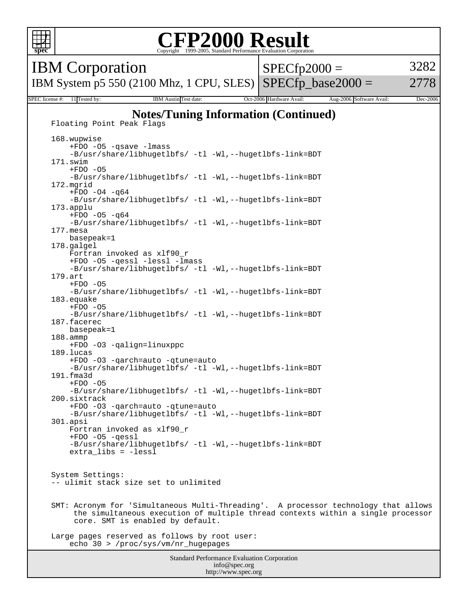